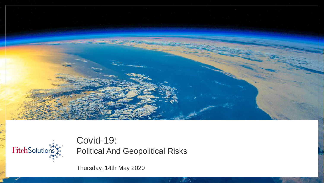



Covid-19: Political And Geopolitical Risks

Thursday, 14th May 2020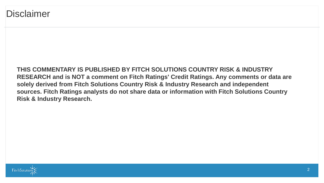**THIS COMMENTARY IS PUBLISHED BY FITCH SOLUTIONS COUNTRY RISK & INDUSTRY RESEARCH and is NOT a comment on Fitch Ratings' Credit Ratings. Any comments or data are solely derived from Fitch Solutions Country Risk & Industry Research and independent sources. Fitch Ratings analysts do not share data or information with Fitch Solutions Country Risk & Industry Research.**

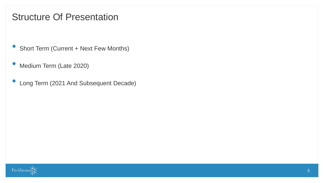### Structure Of Presentation

- Short Term (Current + Next Few Months)
- Medium Term (Late 2020)
- Long Term (2021 And Subsequent Decade)

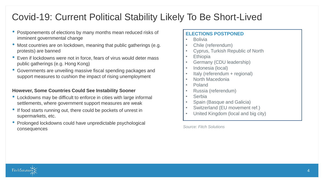### Covid-19: Current Political Stability Likely To Be Short-Lived

- Postponements of elections by many months mean reduced risks of imminent governmental change
- Most countries are on lockdown, meaning that public gatherings (e.g. protests) are banned
- Even if lockdowns were not in force, fears of virus would deter mass public gatherings (e.g. Hong Kong)
- Governments are unveiling massive fiscal spending packages and support measures to cushion the impact of rising unemployment

#### **However, Some Countries Could See Instability Sooner**

- Lockdowns may be difficult to enforce in cities with large informal settlements, where government support measures are weak
- If food starts running out, there could be pockets of unrest in supermarkets, etc.
- Prolonged lockdowns could have unpredictable psychological consequences

#### **ELECTIONS POSTPONED**

- Bolivia
- Chile (referendum)
- Cyprus, Turkish Republic of North
- **Ethiopia**
- Germany (CDU leadership)
- Indonesia (local)
- Italy (referendum + regional)
- North Macedonia
- Poland
- Russia (referendum)
- **Serbia**
- Spain (Basque and Galicia)
- Switzerland (EU movement ref.)
- United Kingdom (local and big city)

*Source: Fitch Solutions*

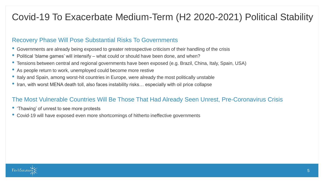# Covid-19 To Exacerbate Medium-Term (H2 2020-2021) Political Stability

### Recovery Phase Will Pose Substantial Risks To Governments

- Governments are already being exposed to greater retrospective criticism of their handling of the crisis
- Political 'blame games' will intensify what could or should have been done, and when?
- Tensions between central and regional governments have been exposed (e.g. Brazil, China, Italy, Spain, USA)
- As people return to work, unemployed could become more restive
- Italy and Spain, among worst-hit countries in Europe, were already the most politically unstable
- Iran, with worst MENA death toll, also faces instability risks… especially with oil price collapse

### The Most Vulnerable Countries Will Be Those That Had Already Seen Unrest, Pre-Coronavirus Crisis

- 'Thawing' of unrest to see more protests
- Covid-19 will have exposed even more shortcomings of hitherto ineffective governments

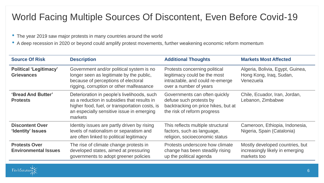# World Facing Multiple Sources Of Discontent, Even Before Covid-19

- The year 2019 saw major protests in many countries around the world
- A deep recession in 2020 or beyond could amplify protest movements, further weakening economic reform momentum

| <b>Source Of Risk</b>                               | <b>Description</b>                                                                                                                                                                                   | <b>Additional Thoughts</b>                                                                                                     | <b>Markets Most Affected</b>                                                      |
|-----------------------------------------------------|------------------------------------------------------------------------------------------------------------------------------------------------------------------------------------------------------|--------------------------------------------------------------------------------------------------------------------------------|-----------------------------------------------------------------------------------|
| <b>Political 'Legitimacy'</b><br><b>Grievances</b>  | Government and/or political system is no<br>longer seen as legitimate by the public,<br>because of perceptions of electoral<br>rigging, corruption or other malfeasance                              | Protests concerning political<br>legitimacy could be the most<br>intractable, and could re-emerge<br>over a number of years    | Algeria, Bolivia, Egypt, Guinea,<br>Hong Kong, Iraq, Sudan,<br>Venezuela          |
| 'Bread And Butter'<br><b>Protests</b>               | Deterioration in people's livelihoods, such<br>as a reduction in subsidies that results in<br>higher food, fuel, or transportation costs, is<br>an especially sensitive issue in emerging<br>markets | Governments can often quickly<br>defuse such protests by<br>backtracking on price hikes, but at<br>the risk of reform progress | Chile, Ecuador, Iran, Jordan,<br>Lebanon, Zimbabwe                                |
| <b>Discontent Over</b><br>'Identity' Issues         | Identity issues are partly driven by rising<br>levels of nationalism or separatism and<br>are often linked to political legitimacy                                                                   | This reflects multiple structural<br>factors, such as language,<br>religion, socioeconomic status                              | Cameroon, Ethiopia, Indonesia,<br>Nigeria, Spain (Catalonia)                      |
| <b>Protests Over</b><br><b>Environmental Issues</b> | The rise of climate change protests in<br>developed states, aimed at pressuring<br>governments to adopt greener policies                                                                             | Protests underscore how climate<br>change has been steadily rising<br>up the political agenda                                  | Mostly developed countries, but<br>increasingly likely in emerging<br>markets too |

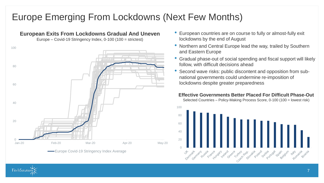### Europe Emerging From Lockdowns (Next Few Months)



- European countries are on course to fully or almost-fully exit lockdowns by the end of August
- Northern and Central Europe lead the way, trailed by Southern and Eastern Europe
- Gradual phase-out of social spending and fiscal support will likely follow, with difficult decisions ahead
- Second wave risks: public discontent and opposition from subnational governments could undermine re-imposition of lockdowns despite greater preparedness

#### **Effective Governments Better Placed For Difficult Phase-Out**

Selected Countries – Policy-Making Process Score, 0-100 (100 = lowest risk)



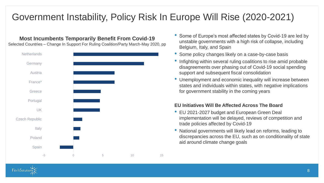# Government Instability, Policy Risk In Europe Will Rise (2020-2021)

### **Most Incumbents Temporarily Benefit From Covid-19**

Selected Countries – Change In Support For Ruling Coalition/Party March-May 2020, pp



- Some of Europe's most affected states by Covid-19 are led by unstable governments with a high risk of collapse, including Belgium, Italy, and Spain
- Some policy changes likely on a case-by-case basis
- Infighting within several ruling coalitions to rise amid probable disagreements over phasing out of Covid-19 social spending support and subsequent fiscal consolidation
- Unemployment and economic inequality will increase between states and individuals within states, with negative implications for government stability in the coming years

#### **EU Initiatives Will Be Affected Across The Board**

- EU 2021-2027 budget and European Green Deal implementation will be delayed, reviews of competition and trade policies affected by Covid-19
- National governments will likely lead on reforms, leading to discrepancies across the EU, such as on conditionality of state aid around climate change goals

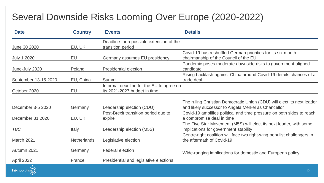# Several Downside Risks Looming Over Europe (2020-2022)

| <b>Date</b>          | <b>Country</b>     | <b>Events</b>                                                            | <b>Details</b>                                                                                                                |  |
|----------------------|--------------------|--------------------------------------------------------------------------|-------------------------------------------------------------------------------------------------------------------------------|--|
| June 30 2020         | EU, UK             | Deadline for a possible extension of the<br>transition period            |                                                                                                                               |  |
| <b>July 1 2020</b>   | EU                 | Germany assumes EU presidency                                            | Covid-19 has reshuffled German priorities for its six-month<br>chairmanship of the Council of the EU                          |  |
| June-July 2020       | Poland             | <b>Presidential election</b>                                             | Pandemic poses moderate downside risks to government-aligned<br>candidate                                                     |  |
| September 13-15 2020 | EU, China          | Summit                                                                   | Rising backlash against China around Covid-19 derails chances of a<br>trade deal                                              |  |
| October 2020         | EU                 | Informal deadline for the EU to agree on<br>its 2021-2027 budget in time |                                                                                                                               |  |
| December 3-5 2020    | Germany            | Leadership election (CDU)                                                | The ruling Christian Democratic Union (CDU) will elect its next leader<br>and likely successor to Angela Merkel as Chancellor |  |
| December 31 2020     | EU, UK             | Post-Brexit transition period due to<br>expire                           | Covid-19 amplifies political and time pressure on both sides to reach<br>a compromise deal in time                            |  |
| <b>TBC</b>           | Italy              | Leadership election (M5S)                                                | The Five Star Movement (M5S) will elect its next leader, with some<br>implications for government stability                   |  |
| March 2021           | <b>Netherlands</b> | Legislative election                                                     | Centre-right coalition will face two right-wing populist challengers in<br>the aftermath of Covid-19                          |  |
| Autumn 2021          | Germany            | <b>Federal election</b>                                                  | Wide-ranging implications for domestic and European policy                                                                    |  |
| April 2022           | France             | Presidential and legislative elections                                   |                                                                                                                               |  |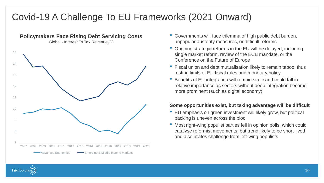# Covid-19 A Challenge To EU Frameworks (2021 Onward)



- Governments will face trilemma of high public debt burden, unpopular austerity measures, or difficult reforms
- Ongoing strategic reforms in the EU will be delayed, including single market reform, review of the ECB mandate, or the Conference on the Future of Europe
- Fiscal union and debt mutualisation likely to remain taboo, thus testing limits of EU fiscal rules and monetary policy
- Benefits of EU integration will remain static and could fall in relative importance as sectors without deep integration become more prominent (such as digital economy)

#### **Some opportunities exist, but taking advantage will be difficult**

- EU emphasis on green investment will likely grow, but political backing is uneven across the bloc
- Most right-wing populist parties fell in opinion polls, which could catalyse reformist movements, but trend likely to be short-lived and also invites challenge from left-wing populists

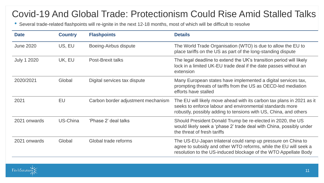### Covid-19 And Global Trade: Protectionism Could Rise Amid Stalled Talks

• Several trade-related flashpoints will re-ignite in the next 12-18 months, most of which will be difficult to resolve

| <b>Date</b>        | <b>Country</b> | <b>Flashpoints</b>                 | <b>Details</b>                                                                                                                                                                                        |
|--------------------|----------------|------------------------------------|-------------------------------------------------------------------------------------------------------------------------------------------------------------------------------------------------------|
| <b>June 2020</b>   | US, EU         | Boeing-Airbus dispute              | The World Trade Organisation (WTO) is due to allow the EU to<br>place tariffs on the US as part of the long-standing dispute                                                                          |
| <b>July 1 2020</b> | UK, EU         | <b>Post-Brexit talks</b>           | The legal deadline to extend the UK's transition period will likely<br>lock in a limited UK-EU trade deal if the date passes without an<br>extension                                                  |
| 2020/2021          | Global         | Digital services tax dispute       | Many European states have implemented a digital services tax,<br>prompting threats of tariffs from the US as OECD-led mediation<br>efforts have stalled                                               |
| 2021               | EU             | Carbon border adjustment mechanism | The EU will likely move ahead with its carbon tax plans in 2021 as it<br>seeks to enforce labour and environmental standards more<br>robustly, possibly adding to tensions with US, China, and others |
| 2021 onwards       | US-China       | 'Phase 2' deal talks               | Should President Donald Trump be re-elected in 2020, the US<br>would likely seek a 'phase 2' trade deal with China, possibly under<br>the threat of fresh tariffs                                     |
| 2021 onwards       | Global         | Global trade reforms               | The US-EU-Japan trilateral could ramp up pressure on China to<br>agree to subsidy and other WTO reforms, while the EU will seek a<br>resolution to the US-induced blockage of the WTO Appellate Body  |

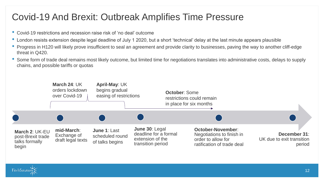### Covid-19 And Brexit: Outbreak Amplifies Time Pressure

- Covid-19 restrictions and recession raise risk of 'no deal' outcome
- London resists extension despite legal deadline of July 1 2020, but a short 'technical' delay at the last minute appears plausible
- Progress in H120 will likely prove insufficient to seal an agreement and provide clarity to businesses, paving the way to another cliff-edge threat in Q420.
- Some form of trade deal remains most likely outcome, but limited time for negotiations translates into administrative costs, delays to supply chains, and possible tariffs or quotas



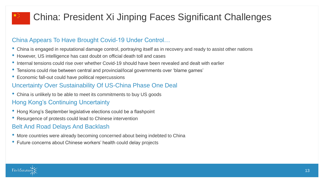# China: President Xi Jinping Faces Significant Challenges

### China Appears To Have Brought Covid-19 Under Control…

- China is engaged in reputational damage control, portraying itself as in recovery and ready to assist other nations
- However, US intelligence has cast doubt on official death toll and cases
- Internal tensions could rise over whether Covid-19 should have been revealed and dealt with earlier
- Tensions could rise between central and provincial/local governments over 'blame games'
- Economic fall-out could have political repercussions

### Uncertainty Over Sustainability Of US-China Phase One Deal

• China is unlikely to be able to meet its commitments to buy US goods

### Hong Kong's Continuing Uncertainty

- Hong Kong's September legislative elections could be a flashpoint
- Resurgence of protests could lead to Chinese intervention

### Belt And Road Delays And Backlash

- More countries were already becoming concerned about being indebted to China
- Future concerns about Chinese workers' health could delay projects

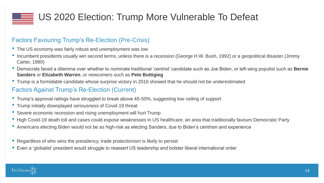

### Factors Favouring Trump's Re-Election (Pre-Crisis)

- The US economy was fairly robust and unemployment was low
- Incumbent presidents usually win second terms, unless there is a recession (George H.W. Bush, 1992) or a geopolitical disaster (Jimmy Carter, 1980)
- Democrats faced a dilemma over whether to nominate traditional 'centrist' candidate such as Joe Biden, or left-wing populist such as **Bernie Sanders** or **Elizabeth Warren**, or newcomers such as **Pete Buttigieg**
- Trump is a formidable candidate whose surprise victory in 2016 showed that he should not be underestimated

### Factors Against Trump's Re-Election (Current)

- Trump's approval ratings have struggled to break above 45-50%, suggesting low ceiling of support
- Trump initially downplayed seriousness of Covid-19 threat
- Severe economic recession and rising unemployment will hurt Trump
- High Covid-19 death toll and cases could expose weaknesses in US healthcare, an area that traditionally favours Democratic Party
- Americans electing Biden would not be as high-risk as electing Sanders, due to Biden's centrism and experience
- Regardless of who wins the presidency, trade protectionism is likely to persist
- Even a 'globalist' president would struggle to reassert US leadership and bolster liberal international order

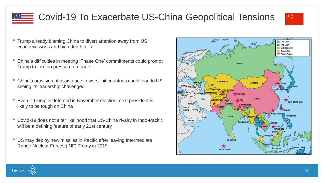# Covid-19 To Exacerbate US-China Geopolitical Tensions

- Trump already blaming China to divert attention away from US economic woes and high death tolls
- China's difficulties in meeting 'Phase One' commitments could prompt Trump to turn up pressure on trade
- China's provision of assistance to worst-hit countries could lead to US seeing its leadership challenged
- Even if Trump is defeated in November election, next president is likely to be tough on China
- Covid-19 does not alter likelihood that US-China rivalry in Indo-Pacific will be a defining feature of early 21st century
- US may deploy new missiles in Pacific after leaving Intermediate Range Nuclear Forces (INF) Treaty in 2019





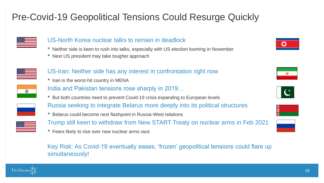# Pre-Covid-19 Geopolitical Tensions Could Resurge Quickly



### US-North Korea nuclear talks to remain in deadlock

- Neither side is keen to rush into talks, especially with US election looming in November
- Next US president may take tougher approach



- US-Iran: Neither side has any interest in confrontation right now
- Iran is the worst-hit country in MENA



- India and Pakistan tensions rose sharply in 2019…
- But both countries need to prevent Covid-19 crisis expanding to European levels



• Belarus could become next flashpoint in Russia-West relations



- Trump still keen to withdraw from New START Treaty on nuclear arms in Feb 2021
- Fears likely to rise over new nuclear arms race

Key Risk: As Covid-19 eventually eases, 'frozen' geopolitical tensions could flare up simultaneously!









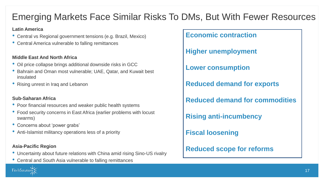# Emerging Markets Face Similar Risks To DMs, But With Fewer Resources

#### **Latin America**

- Central vs Regional government tensions (e.g. Brazil, Mexico)
- Central America vulnerable to falling remittances

#### **Middle East And North Africa**

- Oil price collapse brings additional downside risks in GCC
- Bahrain and Oman most vulnerable; UAE, Qatar, and Kuwait best insulated
- Rising unrest in Iraq and Lebanon

### **Sub-Saharan Africa**

- Poor financial resources and weaker public health systems
- Food security concerns in East Africa (earlier problems with locust swarms)
- Concerns about 'power grabs'
- Anti-Islamist militancy operations less of a priority

#### **Asia-Pacific Region**

FitchSolution

- Uncertainty about future relations with China amid rising Sino-US rivalry
- Central and South Asia vulnerable to falling remittances

**Economic contraction**

**Higher unemployment**

**Lower consumption**

**Reduced demand for exports**

**Reduced demand for commodities**

**Rising anti-incumbency**

**Fiscal loosening**

**Reduced scope for reforms**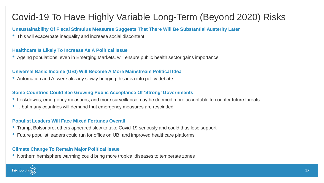# Covid-19 To Have Highly Variable Long-Term (Beyond 2020) Risks

**Unsustainability Of Fiscal Stimulus Measures Suggests That There Will Be Substantial Austerity Later**

• This will exacerbate inequality and increase social discontent

#### **Healthcare Is Likely To Increase As A Political Issue**

• Ageing populations, even in Emerging Markets, will ensure public health sector gains importance

#### **Universal Basic Income (UBI) Will Become A More Mainstream Political Idea**

• Automation and AI were already slowly bringing this idea into policy debate

#### **Some Countries Could See Growing Public Acceptance Of 'Strong' Governments**

- Lockdowns, emergency measures, and more surveillance may be deemed more acceptable to counter future threats…
- …but many countries will demand that emergency measures are rescinded

#### **Populist Leaders Will Face Mixed Fortunes Overall**

- Trump, Bolsonaro, others appeared slow to take Covid-19 seriously and could thus lose support
- Future populist leaders could run for office on UBI and improved healthcare platforms

#### **Climate Change To Remain Major Political Issue**

• Northern hemisphere warming could bring more tropical diseases to temperate zones

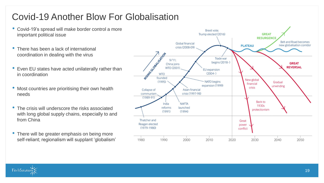# Covid-19 Another Blow For Globalisation

- Covid-19's spread will make border control a more important political issue
- There has been a lack of international coordination in dealing with the virus
- Even EU states have acted unilaterally rather than in coordination
- Most countries are prioritising their own health needs
- The crisis will underscore the risks associated with long global supply chains, especially to and from China
- There will be greater emphasis on being more self-reliant; regionalism will supplant 'globalism'



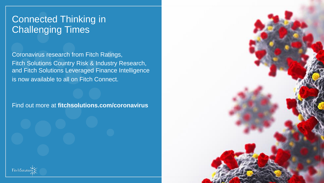### Connected Thinking in Challenging Times

Coronavirus research from Fitch Ratings, Fitch Solutions Country Risk & Industry Research, and Fitch Solutions Leveraged Finance Intelligence is now available to all on Fitch Connect.

Find out more at **fitchsolutions.com/coronavirus**